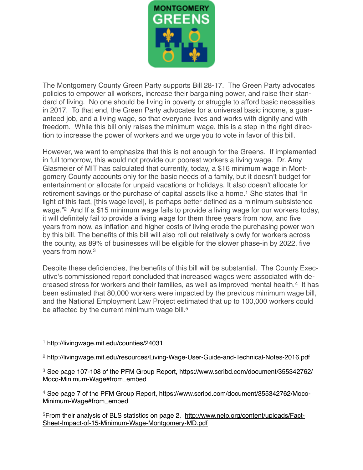

The Montgomery County Green Party supports Bill 28-17. The Green Party advocates policies to empower all workers, increase their bargaining power, and raise their standard of living. No one should be living in poverty or struggle to afford basic necessities in 2017. To that end, the Green Party advocates for a universal basic income, a guaranteed job, and a living wage, so that everyone lives and works with dignity and with freedom. While this bill only raises the minimum wage, this is a step in the right direction to increase the power of workers and we urge you to vote in favor of this bill.

<span id="page-0-5"></span>However, we want to emphasize that this is not enough for the Greens. If implemented in full tomorrow, this would not provide our poorest workers a living wage. Dr. Amy Glasmeier of MIT has calculated that currently, today, a \$16 minimum wage in Montgomery County accounts only for the basic needs of a family, but it doesn't budget for entertainment or allocate for unpaid vacations or holidays. It also doesn't allocate for retirement savings or the purchase of capital assets like a home.<sup>[1](#page-0-0)</sup> She states that "In light of this fact, [this wage level], is perhaps better defined as a minimum subsistence wage.["](#page-0-1)<sup>[2](#page-0-1)</sup> And If a \$15 minimum wage fails to provide a living wage for our workers today, it will definitely fail to provide a living wage for them three years from now, and five years from now, as inflation and higher costs of living erode the purchasing power won by this bill. The benefits of this bill will also roll out relatively slowly for workers across the county, as 89% of businesses will be eligible for the slower phase-in by 2022, five years from now.[3](#page-0-2)

<span id="page-0-8"></span><span id="page-0-7"></span><span id="page-0-6"></span>Despite these deficiencies, the benefits of this bill will be substantial. The County Executive's commissioned report concluded that increased wages were associated with de-creasedstress for workers and their families, as well as improved mental health.<sup>[4](#page-0-3)</sup> It has been estimated that 80,000 workers were impacted by the previous minimum wage bill, and the National Employment Law Project estimated that up to 100,000 workers could be affected by the current minimum wage bill.<sup>5</sup>

<span id="page-0-4"></span>[From their analysis of BLS statistics on page 2, http://www.nelp.org/content/uploads/Fact-](http://www.nelp.org/content/uploads/Fact-Sheet-Impact-of-15-Minimum-Wage-Montgomery-MD.pdf) [5](#page-0-9) Sheet-Impact-of-15-Minimum-Wage-Montgomery-MD.pdf

<span id="page-0-9"></span><span id="page-0-0"></span>[<sup>1</sup>](#page-0-5) <http://livingwage.mit.edu/counties/24031>

<span id="page-0-1"></span><http://livingwage.mit.edu/resources/Living-Wage-User-Guide-and-Technical-Notes-2016.pdf> [2](#page-0-6)

<span id="page-0-2"></span><sup>&</sup>lt;sup>3</sup> [See page 107-108 of the PFM Group Report, https://www.scribd.com/document/355342762/](https://www.scribd.com/document/355342762/Moco-Minimum-Wage%23from_embed) Moco-Minimum-Wage#from\_embed

<span id="page-0-3"></span><sup>&</sup>lt;sup>4</sup> [See page 7 of the PFM Group Report, https://www.scribd.com/document/355342762/Moco-](https://www.scribd.com/document/355342762/Moco-Minimum-Wage%2523from_embed) Minimum-Wage#from\_embed